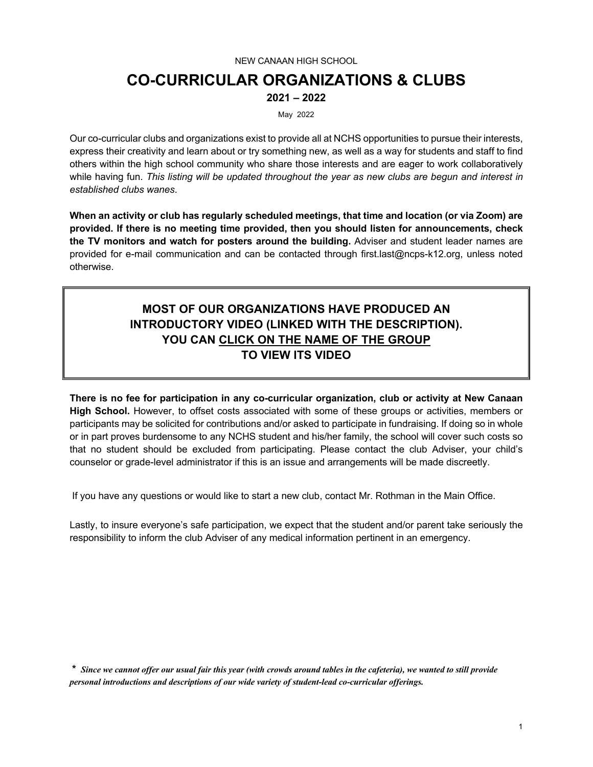# NEW CANAAN HIGH SCHOOL **CO-CURRICULAR ORGANIZATIONS & CLUBS 2021 – 2022**

May 2022

Our co-curricular clubs and organizations exist to provide all at NCHS opportunities to pursue their interests, express their creativity and learn about or try something new, as well as a way for students and staff to find others within the high school community who share those interests and are eager to work collaboratively while having fun. *This listing will be updated throughout the year as new clubs are begun and interest in established clubs wanes*.

**When an activity or club has regularly scheduled meetings, that time and location (or via Zoom) are provided. If there is no meeting time provided, then you should listen for announcements, check the TV monitors and watch for posters around the building.** Adviser and student leader names are provided for e-mail communication and can be contacted through first.last@ncps-k12.org, unless noted otherwise.

# **MOST OF OUR ORGANIZATIONS HAVE PRODUCED AN INTRODUCTORY VIDEO (LINKED WITH THE DESCRIPTION). YOU CAN CLICK ON THE NAME OF THE GROUP TO VIEW ITS VIDEO**

**There is no fee for participation in any co-curricular organization, club or activity at New Canaan High School.** However, to offset costs associated with some of these groups or activities, members or participants may be solicited for contributions and/or asked to participate in fundraising. If doing so in whole or in part proves burdensome to any NCHS student and his/her family, the school will cover such costs so that no student should be excluded from participating. Please contact the club Adviser, your child's counselor or grade-level administrator if this is an issue and arrangements will be made discreetly.

If you have any questions or would like to start a new club, contact Mr. Rothman in the Main Office.

Lastly, to insure everyone's safe participation, we expect that the student and/or parent take seriously the responsibility to inform the club Adviser of any medical information pertinent in an emergency.

**\*** *Since we cannot offer our usual fair this year (with crowds around tables in the cafeteria), we wanted to still provide personal introductions and descriptions of our wide variety of student-lead co-curricular offerings.*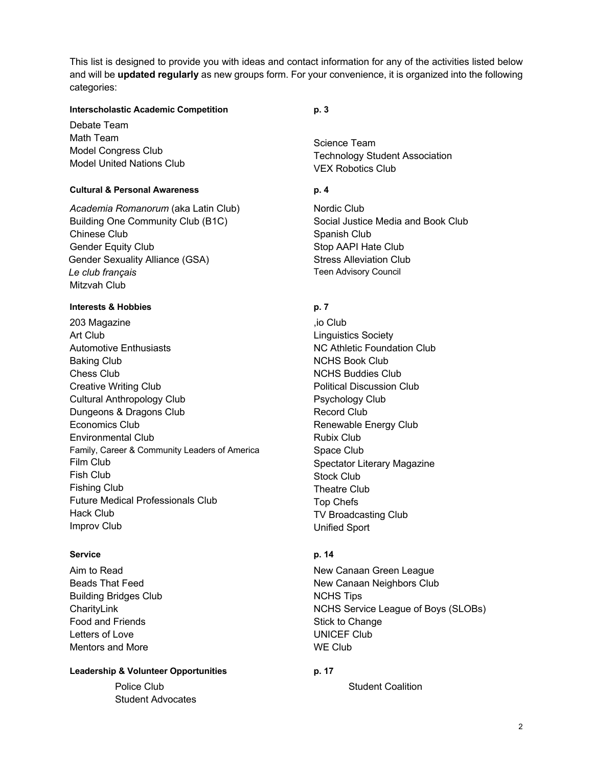This list is designed to provide you with ideas and contact information for any of the activities listed below and will be **updated regularly** as new groups form. For your convenience, it is organized into the following categories:

## **Interscholastic Academic Competition p. 3**

Debate Team Math Team Model Congress Club Model United Nations Club

## **Cultural & Personal Awareness p. 4**

*Academia Romanorum* (aka Latin Club) Building One Community Club (B1C) Chinese Club Gender Equity Club Gender Sexuality Alliance (GSA) *Le club français* Mitzvah Club

## **Interests & Hobbies p. 7**

203 Magazine Art Club Automotive Enthusiasts Baking Club Chess Club Creative Writing Club Cultural Anthropology Club Dungeons & Dragons Club Economics Club Environmental Club Family, Career & Community Leaders of America Film Club Fish Club Fishing Club Future Medical Professionals Club Hack Club Improv Club

## **Service p. 14**

Aim to Read Beads That Feed Building Bridges Club **CharitvLink** Food and Friends Letters of Love Mentors and More

## Leadership & Volunteer Opportunities **p. 17**

Police Club Student Advocates

Science Team Technology Student Association VEX Robotics Club

Nordic Club Social Justice Media and Book Club Spanish Club Stop AAPI Hate Club Stress Alleviation Club Teen Advisory Council

,io Club Linguistics Society NC Athletic Foundation Club NCHS Book Club NCHS Buddies Club Political Discussion Club Psychology Club Record Club Renewable Energy Club Rubix Club Space Club Spectator Literary Magazine Stock Club Theatre Club Top Chefs TV Broadcasting Club Unified Sport

New Canaan Green League New Canaan Neighbors Club NCHS Tips NCHS Service League of Boys (SLOBs) Stick to Change UNICEF Club WE Club

Student Coalition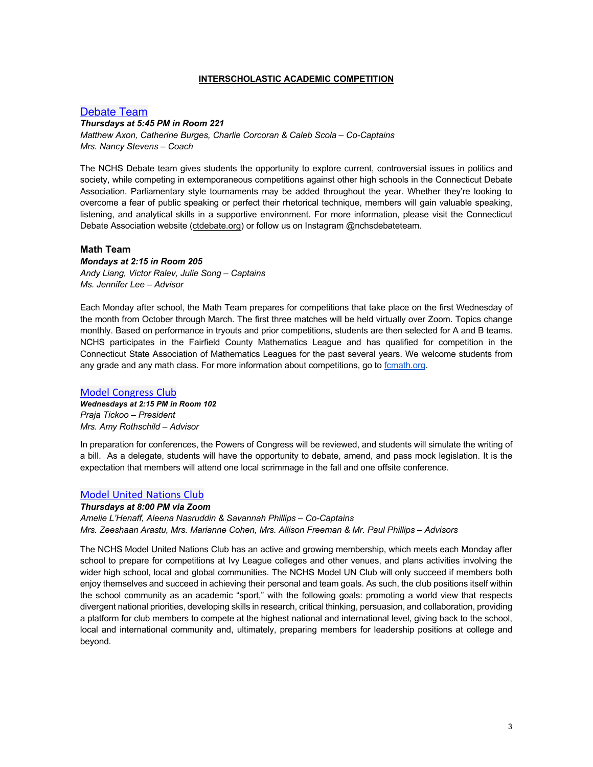#### **INTERSCHOLASTIC ACADEMIC COMPETITION**

## Debate Team

#### *Thursdays at 5:45 PM in Room 221*

*Matthew Axon, Catherine Burges, Charlie Corcoran & Caleb Scola – Co-Captains Mrs. Nancy Stevens – Coach*

The NCHS Debate team gives students the opportunity to explore current, controversial issues in politics and society, while competing in extemporaneous competitions against other high schools in the Connecticut Debate Association. Parliamentary style tournaments may be added throughout the year. Whether they're looking to overcome a fear of public speaking or perfect their rhetorical technique, members will gain valuable speaking, listening, and analytical skills in a supportive environment. For more information, please visit the Connecticut Debate Association website (ctdebate.org) or follow us on Instagram @nchsdebateteam.

#### **Math Team**

*Mondays at 2:15 in Room 205 Andy Liang, Victor Ralev, Julie Song – Captains Ms. Jennifer Lee – Advisor*

Each Monday after school, the Math Team prepares for competitions that take place on the first Wednesday of the month from October through March. The first three matches will be held virtually over Zoom. Topics change monthly. Based on performance in tryouts and prior competitions, students are then selected for A and B teams. NCHS participates in the Fairfield County Mathematics League and has qualified for competition in the Connecticut State Association of Mathematics Leagues for the past several years. We welcome students from any grade and any math class. For more information about competitions, go to fcmath.org.

#### Model Congress Club

*Wednesdays at 2:15 PM in Room 102 Praja Tickoo – President Mrs. Amy Rothschild – Advisor*

In preparation for conferences, the Powers of Congress will be reviewed, and students will simulate the writing of a bill. As a delegate, students will have the opportunity to debate, amend, and pass mock legislation. It is the expectation that members will attend one local scrimmage in the fall and one offsite conference.

#### Model United Nations Club

*Thursdays at 8:00 PM via Zoom Amelie L'Henaff, Aleena Nasruddin & Savannah Phillips – Co-Captains Mrs. Zeeshaan Arastu, Mrs. Marianne Cohen, Mrs. Allison Freeman & Mr. Paul Phillips – Advisors*

The NCHS Model United Nations Club has an active and growing membership, which meets each Monday after school to prepare for competitions at Ivy League colleges and other venues, and plans activities involving the wider high school, local and global communities. The NCHS Model UN Club will only succeed if members both enjoy themselves and succeed in achieving their personal and team goals. As such, the club positions itself within the school community as an academic "sport," with the following goals: promoting a world view that respects divergent national priorities, developing skills in research, critical thinking, persuasion, and collaboration, providing a platform for club members to compete at the highest national and international level, giving back to the school, local and international community and, ultimately, preparing members for leadership positions at college and beyond.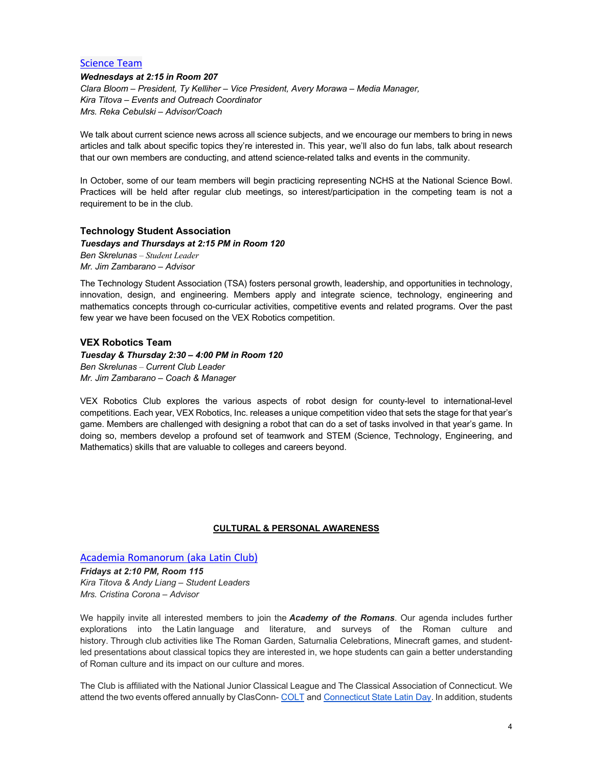#### Science Team

*Wednesdays at 2:15 in Room 207 Clara Bloom – President, Ty Kelliher – Vice President, Avery Morawa – Media Manager, Kira Titova – Events and Outreach Coordinator Mrs. Reka Cebulski – Advisor/Coach*

We talk about current science news across all science subjects, and we encourage our members to bring in news articles and talk about specific topics they're interested in. This year, we'll also do fun labs, talk about research that our own members are conducting, and attend science-related talks and events in the community.

In October, some of our team members will begin practicing representing NCHS at the National Science Bowl. Practices will be held after regular club meetings, so interest/participation in the competing team is not a requirement to be in the club.

#### **Technology Student Association**

*Tuesdays and Thursdays at 2:15 PM in Room 120 Ben Skrelunas – Student Leader Mr. Jim Zambarano – Advisor*

The Technology Student Association (TSA) fosters personal growth, leadership, and opportunities in technology, innovation, design, and engineering. Members apply and integrate science, technology, engineering and mathematics concepts through co-curricular activities, competitive events and related programs. Over the past few year we have been focused on the VEX Robotics competition.

## **VEX Robotics Team**

*Tuesday & Thursday 2:30 – 4:00 PM in Room 120 Ben Skrelunas – Current Club Leader Mr. Jim Zambarano – Coach & Manager*

VEX Robotics Club explores the various aspects of robot design for county-level to international-level competitions. Each year, VEX Robotics, Inc. releases a unique competition video that sets the stage for that year's game. Members are challenged with designing a robot that can do a set of tasks involved in that year's game. In doing so, members develop a profound set of teamwork and STEM (Science, Technology, Engineering, and Mathematics) skills that are valuable to colleges and careers beyond.

#### **CULTURAL & PERSONAL AWARENESS**

Academia Romanorum (aka Latin Club)

*Fridays at 2:10 PM, Room 115 Kira Titova & Andy Liang – Student Leaders Mrs. Cristina Corona – Advisor*

We happily invite all interested members to join the *Academy of the Romans*. Our agenda includes further explorations into the Latin language and literature, and surveys of the Roman culture and history. Through club activities like The Roman Garden, Saturnalia Celebrations, Minecraft games, and studentled presentations about classical topics they are interested in, we hope students can gain a better understanding of Roman culture and its impact on our culture and mores.

The Club is affiliated with the National Junior Classical League and The Classical Association of Connecticut. We attend the two events offered annually by ClasConn- COLT and Connecticut State Latin Day. In addition, students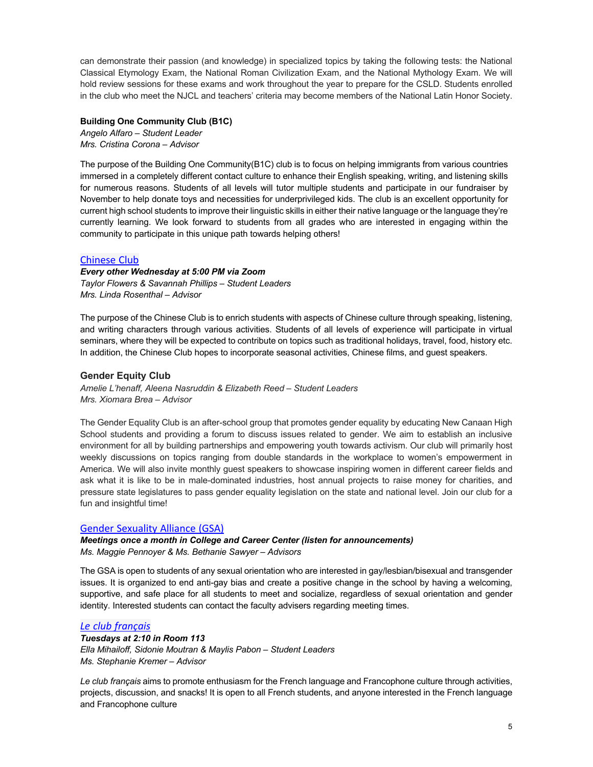can demonstrate their passion (and knowledge) in specialized topics by taking the following tests: the National Classical Etymology Exam, the National Roman Civilization Exam, and the National Mythology Exam. We will hold review sessions for these exams and work throughout the year to prepare for the CSLD. Students enrolled in the club who meet the NJCL and teachers' criteria may become members of the National Latin Honor Society.

#### **Building One Community Club (B1C)**

*Angelo Alfaro – Student Leader Mrs. Cristina Corona – Advisor*

The purpose of the Building One Community(B1C) club is to focus on helping immigrants from various countries immersed in a completely different contact culture to enhance their English speaking, writing, and listening skills for numerous reasons. Students of all levels will tutor multiple students and participate in our fundraiser by November to help donate toys and necessities for underprivileged kids. The club is an excellent opportunity for current high school students to improve their linguistic skills in either their native language or the language they're currently learning. We look forward to students from all grades who are interested in engaging within the community to participate in this unique path towards helping others!

## Chinese Club

## *Every other Wednesday at 5:00 PM via Zoom*

*Taylor Flowers & Savannah Phillips – Student Leaders Mrs. Linda Rosenthal – Advisor*

The purpose of the Chinese Club is to enrich students with aspects of Chinese culture through speaking, listening, and writing characters through various activities. Students of all levels of experience will participate in virtual seminars, where they will be expected to contribute on topics such as traditional holidays, travel, food, history etc. In addition, the Chinese Club hopes to incorporate seasonal activities, Chinese films, and guest speakers.

## **Gender Equity Club**

*Amelie L'henaff, Aleena Nasruddin & Elizabeth Reed – Student Leaders Mrs. Xiomara Brea – Advisor*

The Gender Equality Club is an after-school group that promotes gender equality by educating New Canaan High School students and providing a forum to discuss issues related to gender. We aim to establish an inclusive environment for all by building partnerships and empowering youth towards activism. Our club will primarily host weekly discussions on topics ranging from double standards in the workplace to women's empowerment in America. We will also invite monthly guest speakers to showcase inspiring women in different career fields and ask what it is like to be in male-dominated industries, host annual projects to raise money for charities, and pressure state legislatures to pass gender equality legislation on the state and national level. Join our club for a fun and insightful time!

## Gender Sexuality Alliance (GSA)

*Meetings once a month in College and Career Center (listen for announcements) Ms. Maggie Pennoyer & Ms. Bethanie Sawyer – Advisors*

The GSA is open to students of any sexual orientation who are interested in gay/lesbian/bisexual and transgender issues. It is organized to end anti-gay bias and create a positive change in the school by having a welcoming, supportive, and safe place for all students to meet and socialize, regardless of sexual orientation and gender identity. Interested students can contact the faculty advisers regarding meeting times.

## *Le club français*

*Tuesdays at 2:10 in Room 113 Ella Mihailoff, Sidonie Moutran & Maylis Pabon – Student Leaders Ms. Stephanie Kremer – Advisor*

*Le club français* aims to promote enthusiasm for the French language and Francophone culture through activities, projects, discussion, and snacks! It is open to all French students, and anyone interested in the French language and Francophone culture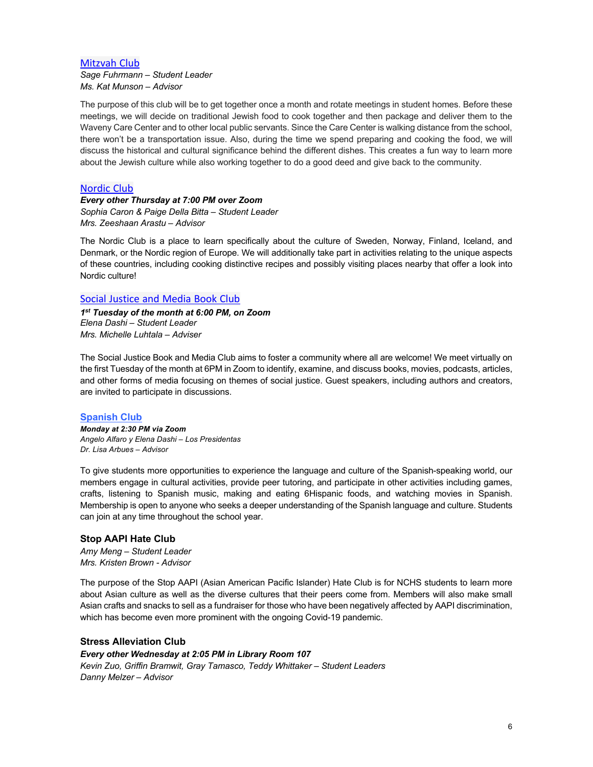## **Mitzvah Club**

*Sage Fuhrmann – Student Leader Ms. Kat Munson – Advisor*

The purpose of this club will be to get together once a month and rotate meetings in student homes. Before these meetings, we will decide on traditional Jewish food to cook together and then package and deliver them to the Waveny Care Center and to other local public servants. Since the Care Center is walking distance from the school, there won't be a transportation issue. Also, during the time we spend preparing and cooking the food, we will discuss the historical and cultural significance behind the different dishes. This creates a fun way to learn more about the Jewish culture while also working together to do a good deed and give back to the community.

## Nordic Club

# *Every other Thursday at 7:00 PM over Zoom*

*Sophia Caron & Paige Della Bitta – Student Leader Mrs. Zeeshaan Arastu – Advisor*

The Nordic Club is a place to learn specifically about the culture of Sweden, Norway, Finland, Iceland, and Denmark, or the Nordic region of Europe. We will additionally take part in activities relating to the unique aspects of these countries, including cooking distinctive recipes and possibly visiting places nearby that offer a look into Nordic culture!

## Social Justice and Media Book Club

*1st Tuesday of the month at 6:00 PM, on Zoom Elena Dashi – Student Leader Mrs. Michelle Luhtala – Adviser*

The Social Justice Book and Media Club aims to foster a community where all are welcome! We meet virtually on the first Tuesday of the month at 6PM in Zoom to identify, examine, and discuss books, movies, podcasts, articles, and other forms of media focusing on themes of social justice. Guest speakers, including authors and creators, are invited to participate in discussions.

#### **Spanish Club**

*Monday at 2:30 PM via Zoom Angelo Alfaro y Elena Dashi – Los Presidentas Dr. Lisa Arbues – Advisor* 

To give students more opportunities to experience the language and culture of the Spanish-speaking world, our members engage in cultural activities, provide peer tutoring, and participate in other activities including games, crafts, listening to Spanish music, making and eating 6Hispanic foods, and watching movies in Spanish. Membership is open to anyone who seeks a deeper understanding of the Spanish language and culture. Students can join at any time throughout the school year.

## **Stop AAPI Hate Club**

*Amy Meng – Student Leader Mrs. Kristen Brown - Advisor*

The purpose of the Stop AAPI (Asian American Pacific Islander) Hate Club is for NCHS students to learn more about Asian culture as well as the diverse cultures that their peers come from. Members will also make small Asian crafts and snacks to sell as a fundraiser for those who have been negatively affected by AAPI discrimination, which has become even more prominent with the ongoing Covid-19 pandemic.

## **Stress Alleviation Club**

*Every other Wednesday at 2:05 PM in Library Room 107 Kevin Zuo, Griffin Bramwit, Gray Tamasco, Teddy Whittaker – Student Leaders Danny Melzer – Advisor*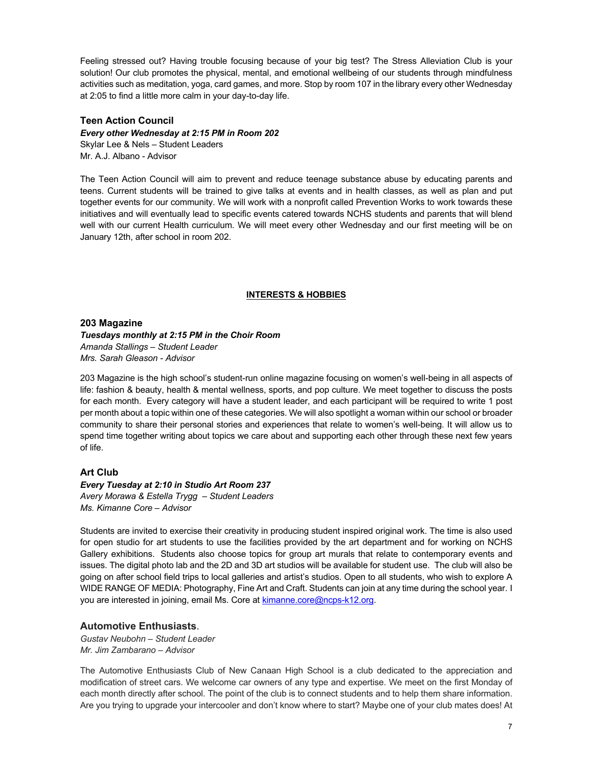Feeling stressed out? Having trouble focusing because of your big test? The Stress Alleviation Club is your solution! Our club promotes the physical, mental, and emotional wellbeing of our students through mindfulness activities such as meditation, yoga, card games, and more. Stop by room 107 in the library every other Wednesday at 2:05 to find a little more calm in your day-to-day life.

## **Teen Action Council**

*Every other Wednesday at 2:15 PM in Room 202* Skylar Lee & Nels – Student Leaders Mr. A.J. Albano - Advisor

The Teen Action Council will aim to prevent and reduce teenage substance abuse by educating parents and teens. Current students will be trained to give talks at events and in health classes, as well as plan and put together events for our community. We will work with a nonprofit called Prevention Works to work towards these initiatives and will eventually lead to specific events catered towards NCHS students and parents that will blend well with our current Health curriculum. We will meet every other Wednesday and our first meeting will be on January 12th, after school in room 202.

#### **INTERESTS & HOBBIES**

**203 Magazine**

*Tuesdays monthly at 2:15 PM in the Choir Room Amanda Stallings – Student Leader Mrs. Sarah Gleason - Advisor*

203 Magazine is the high school's student-run online magazine focusing on women's well-being in all aspects of life: fashion & beauty, health & mental wellness, sports, and pop culture. We meet together to discuss the posts for each month. Every category will have a student leader, and each participant will be required to write 1 post per month about a topic within one of these categories. We will also spotlight a woman within our school or broader community to share their personal stories and experiences that relate to women's well-being. It will allow us to spend time together writing about topics we care about and supporting each other through these next few years of life.

## **Art Club**

*Every Tuesday at 2:10 in Studio Art Room 237 Avery Morawa & Estella Trygg – Student Leaders Ms. Kimanne Core – Advisor*

Students are invited to exercise their creativity in producing student inspired original work. The time is also used for open studio for art students to use the facilities provided by the art department and for working on NCHS Gallery exhibitions. Students also choose topics for group art murals that relate to contemporary events and issues. The digital photo lab and the 2D and 3D art studios will be available for student use. The club will also be going on after school field trips to local galleries and artist's studios. Open to all students, who wish to explore A WIDE RANGE OF MEDIA: Photography, Fine Art and Craft. Students can join at any time during the school year. I you are interested in joining, email Ms. Core at kimanne.core@ncps-k12.org.

#### **Automotive Enthusiasts**.

*Gustav Neubohn – Student Leader Mr. Jim Zambarano – Advisor*

The Automotive Enthusiasts Club of New Canaan High School is a club dedicated to the appreciation and modification of street cars. We welcome car owners of any type and expertise. We meet on the first Monday of each month directly after school. The point of the club is to connect students and to help them share information. Are you trying to upgrade your intercooler and don't know where to start? Maybe one of your club mates does! At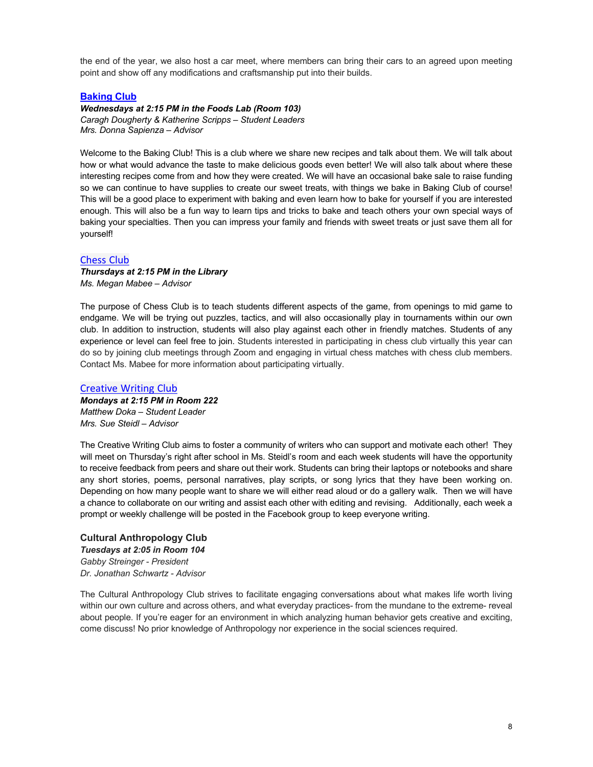the end of the year, we also host a car meet, where members can bring their cars to an agreed upon meeting point and show off any modifications and craftsmanship put into their builds.

## **Baking Club**

*Wednesdays at 2:15 PM in the Foods Lab (Room 103) Caragh Dougherty & Katherine Scripps – Student Leaders Mrs. Donna Sapienza – Advisor*

Welcome to the Baking Club! This is a club where we share new recipes and talk about them. We will talk about how or what would advance the taste to make delicious goods even better! We will also talk about where these interesting recipes come from and how they were created. We will have an occasional bake sale to raise funding so we can continue to have supplies to create our sweet treats, with things we bake in Baking Club of course! This will be a good place to experiment with baking and even learn how to bake for yourself if you are interested enough. This will also be a fun way to learn tips and tricks to bake and teach others your own special ways of baking your specialties. Then you can impress your family and friends with sweet treats or just save them all for yourself!

#### Chess Club

#### *Thursdays at 2:15 PM in the Library Ms. Megan Mabee – Advisor*

The purpose of Chess Club is to teach students different aspects of the game, from openings to mid game to endgame. We will be trying out puzzles, tactics, and will also occasionally play in tournaments within our own club. In addition to instruction, students will also play against each other in friendly matches. Students of any experience or level can feel free to join. Students interested in participating in chess club virtually this year can do so by joining club meetings through Zoom and engaging in virtual chess matches with chess club members. Contact Ms. Mabee for more information about participating virtually.

#### Creative Writing Club

*Mondays at 2:15 PM in Room 222 Matthew Doka – Student Leader Mrs. Sue Steidl – Advisor*

The Creative Writing Club aims to foster a community of writers who can support and motivate each other! They will meet on Thursday's right after school in Ms. Steidl's room and each week students will have the opportunity to receive feedback from peers and share out their work. Students can bring their laptops or notebooks and share any short stories, poems, personal narratives, play scripts, or song lyrics that they have been working on. Depending on how many people want to share we will either read aloud or do a gallery walk. Then we will have a chance to collaborate on our writing and assist each other with editing and revising. Additionally, each week a prompt or weekly challenge will be posted in the Facebook group to keep everyone writing.

**Cultural Anthropology Club** *Tuesdays at 2:05 in Room 104 Gabby Streinger - President Dr. Jonathan Schwartz - Advisor*

The Cultural Anthropology Club strives to facilitate engaging conversations about what makes life worth living within our own culture and across others, and what everyday practices- from the mundane to the extreme- reveal about people. If you're eager for an environment in which analyzing human behavior gets creative and exciting, come discuss! No prior knowledge of Anthropology nor experience in the social sciences required.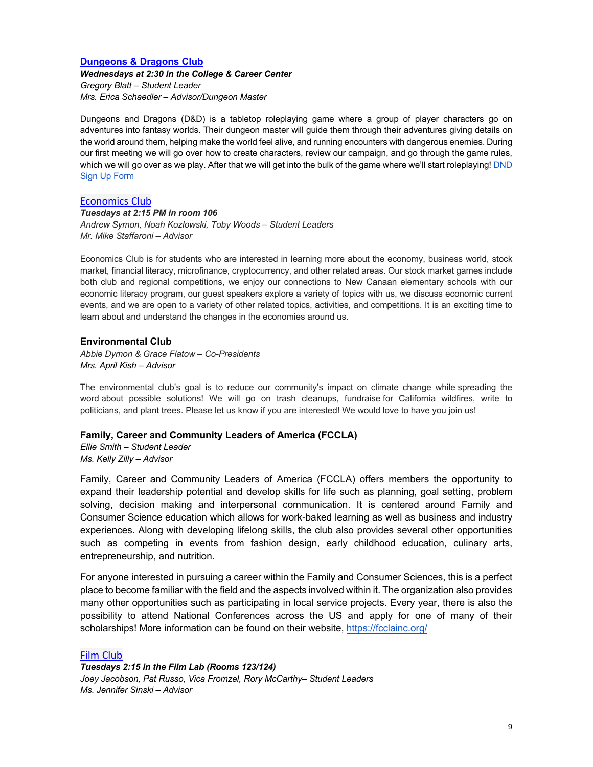## **Dungeons & Dragons Club**

*Wednesdays at 2:30 in the College & Career Center Gregory Blatt – Student Leader Mrs. Erica Schaedler – Advisor/Dungeon Master*

Dungeons and Dragons (D&D) is a tabletop roleplaying game where a group of player characters go on adventures into fantasy worlds. Their dungeon master will guide them through their adventures giving details on the world around them, helping make the world feel alive, and running encounters with dangerous enemies. During our first meeting we will go over how to create characters, review our campaign, and go through the game rules, which we will go over as we play. After that we will get into the bulk of the game where we'll start roleplaying! DND Sign Up Form

## Economics Club

*Tuesdays at 2:15 PM in room 106 Andrew Symon, Noah Kozlowski, Toby Woods – Student Leaders Mr. Mike Staffaroni – Advisor*

Economics Club is for students who are interested in learning more about the economy, business world, stock market, financial literacy, microfinance, cryptocurrency, and other related areas. Our stock market games include both club and regional competitions, we enjoy our connections to New Canaan elementary schools with our economic literacy program, our guest speakers explore a variety of topics with us, we discuss economic current events, and we are open to a variety of other related topics, activities, and competitions. It is an exciting time to learn about and understand the changes in the economies around us.

#### **Environmental Club**

*Abbie Dymon & Grace Flatow – Co-Presidents Mrs. April Kish – Advisor*

The environmental club's goal is to reduce our community's impact on climate change while spreading the word about possible solutions! We will go on trash cleanups, fundraise for California wildfires, write to politicians, and plant trees. Please let us know if you are interested! We would love to have you join us!

#### **Family, Career and Community Leaders of America (FCCLA)**

*Ellie Smith – Student Leader Ms. Kelly Zilly – Advisor*

Family, Career and Community Leaders of America (FCCLA) offers members the opportunity to expand their leadership potential and develop skills for life such as planning, goal setting, problem solving, decision making and interpersonal communication. It is centered around Family and Consumer Science education which allows for work-baked learning as well as business and industry experiences. Along with developing lifelong skills, the club also provides several other opportunities such as competing in events from fashion design, early childhood education, culinary arts, entrepreneurship, and nutrition.

For anyone interested in pursuing a career within the Family and Consumer Sciences, this is a perfect place to become familiar with the field and the aspects involved within it. The organization also provides many other opportunities such as participating in local service projects. Every year, there is also the possibility to attend National Conferences across the US and apply for one of many of their scholarships! More information can be found on their website, https://fcclainc.org/

#### Film Club

*Tuesdays 2:15 in the Film Lab (Rooms 123/124) Joey Jacobson, Pat Russo, Vica Fromzel, Rory McCarthy– Student Leaders Ms. Jennifer Sinski – Advisor*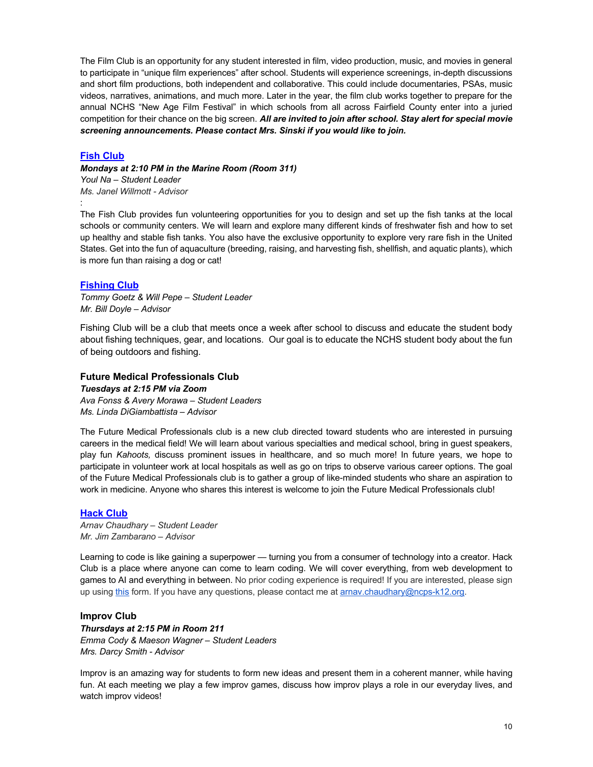The Film Club is an opportunity for any student interested in film, video production, music, and movies in general to participate in "unique film experiences" after school. Students will experience screenings, in-depth discussions and short film productions, both independent and collaborative. This could include documentaries, PSAs, music videos, narratives, animations, and much more. Later in the year, the film club works together to prepare for the annual NCHS "New Age Film Festival" in which schools from all across Fairfield County enter into a juried competition for their chance on the big screen. *All are invited to join after school. Stay alert for special movie screening announcements. Please contact Mrs. Sinski if you would like to join.*

## **Fish Club**

:

*Mondays at 2:10 PM in the Marine Room (Room 311) Youl Na – Student Leader Ms. Janel Willmott - Advisor*

The Fish Club provides fun volunteering opportunities for you to design and set up the fish tanks at the local schools or community centers. We will learn and explore many different kinds of freshwater fish and how to set up healthy and stable fish tanks. You also have the exclusive opportunity to explore very rare fish in the United States. Get into the fun of aquaculture (breeding, raising, and harvesting fish, shellfish, and aquatic plants), which is more fun than raising a dog or cat!

#### **Fishing Club**

*Tommy Goetz & Will Pepe – Student Leader Mr. Bill Doyle – Advisor*

Fishing Club will be a club that meets once a week after school to discuss and educate the student body about fishing techniques, gear, and locations. Our goal is to educate the NCHS student body about the fun of being outdoors and fishing.

#### **Future Medical Professionals Club**

*Tuesdays at 2:15 PM via Zoom Ava Fonss & Avery Morawa – Student Leaders Ms. Linda DiGiambattista – Advisor*

The Future Medical Professionals club is a new club directed toward students who are interested in pursuing careers in the medical field! We will learn about various specialties and medical school, bring in guest speakers, play fun *Kahoots,* discuss prominent issues in healthcare, and so much more! In future years, we hope to participate in volunteer work at local hospitals as well as go on trips to observe various career options. The goal of the Future Medical Professionals club is to gather a group of like-minded students who share an aspiration to work in medicine. Anyone who shares this interest is welcome to join the Future Medical Professionals club!

#### **Hack Club**

*Arnav Chaudhary – Student Leader Mr. Jim Zambarano – Advisor*

Learning to code is like gaining a superpower — turning you from a consumer of technology into a creator. Hack Club is a place where anyone can come to learn coding. We will cover everything, from web development to games to AI and everything in between. No prior coding experience is required! If you are interested, please sign up using this form. If you have any questions, please contact me at arnav.chaudhary@ncps-k12.org.

#### **Improv Club**

## *Thursdays at 2:15 PM in Room 211 Emma Cody & Maeson Wagner – Student Leaders Mrs. Darcy Smith - Advisor*

Improv is an amazing way for students to form new ideas and present them in a coherent manner, while having fun. At each meeting we play a few improv games, discuss how improv plays a role in our everyday lives, and watch improv videos!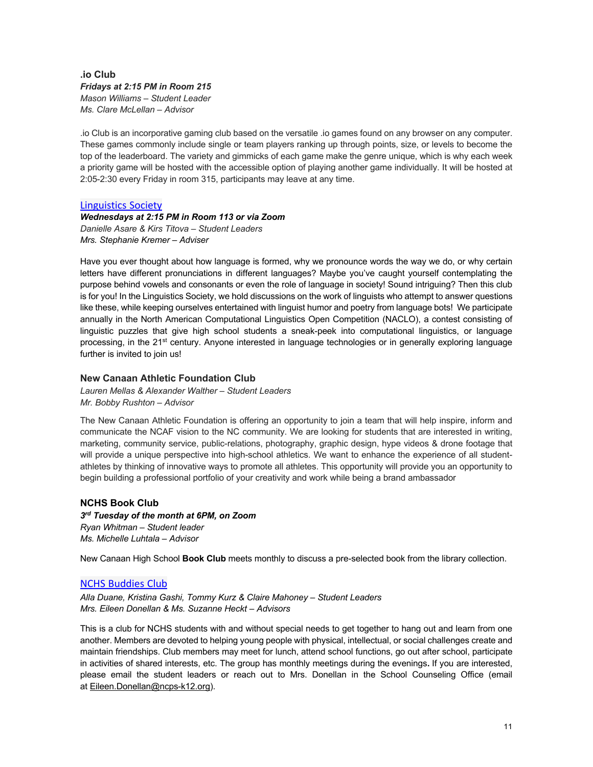## **.io Club** *Fridays at 2:15 PM in Room 215 Mason Williams – Student Leader Ms. Clare McLellan – Advisor*

.io Club is an incorporative gaming club based on the versatile .io games found on any browser on any computer. These games commonly include single or team players ranking up through points, size, or levels to become the top of the leaderboard. The variety and gimmicks of each game make the genre unique, which is why each week a priority game will be hosted with the accessible option of playing another game individually. It will be hosted at 2:05-2:30 every Friday in room 315, participants may leave at any time.

## Linguistics Society

*Wednesdays at 2:15 PM in Room 113 or via Zoom Danielle Asare & Kirs Titova – Student Leaders Mrs. Stephanie Kremer – Adviser*

Have you ever thought about how language is formed, why we pronounce words the way we do, or why certain letters have different pronunciations in different languages? Maybe you've caught yourself contemplating the purpose behind vowels and consonants or even the role of language in society! Sound intriguing? Then this club is for you! In the Linguistics Society, we hold discussions on the work of linguists who attempt to answer questions like these, while keeping ourselves entertained with linguist humor and poetry from language bots! We participate annually in the North American Computational Linguistics Open Competition (NACLO), a contest consisting of linguistic puzzles that give high school students a sneak-peek into computational linguistics, or language processing, in the 21st century. Anyone interested in language technologies or in generally exploring language further is invited to join us!

## **New Canaan Athletic Foundation Club**

*Lauren Mellas & Alexander Walther – Student Leaders Mr. Bobby Rushton – Advisor*

The New Canaan Athletic Foundation is offering an opportunity to join a team that will help inspire, inform and communicate the NCAF vision to the NC community. We are looking for students that are interested in writing, marketing, community service, public-relations, photography, graphic design, hype videos & drone footage that will provide a unique perspective into high-school athletics. We want to enhance the experience of all studentathletes by thinking of innovative ways to promote all athletes. This opportunity will provide you an opportunity to begin building a professional portfolio of your creativity and work while being a brand ambassador

## **NCHS Book Club**

*3rd Tuesday of the month at 6PM, on Zoom Ryan Whitman – Student leader Ms. Michelle Luhtala – Advisor*

New Canaan High School **Book Club** meets monthly to discuss a pre-selected book from the library collection.

## NCHS Buddies Club

*Alla Duane, Kristina Gashi, Tommy Kurz & Claire Mahoney – Student Leaders Mrs. Eileen Donellan & Ms. Suzanne Heckt – Advisors*

This is a club for NCHS students with and without special needs to get together to hang out and learn from one another. Members are devoted to helping young people with physical, intellectual, or social challenges create and maintain friendships. Club members may meet for lunch, attend school functions, go out after school, participate in activities of shared interests, etc. The group has monthly meetings during the evenings**.** If you are interested, please email the student leaders or reach out to Mrs. Donellan in the School Counseling Office (email at Eileen.Donellan@ncps-k12.org).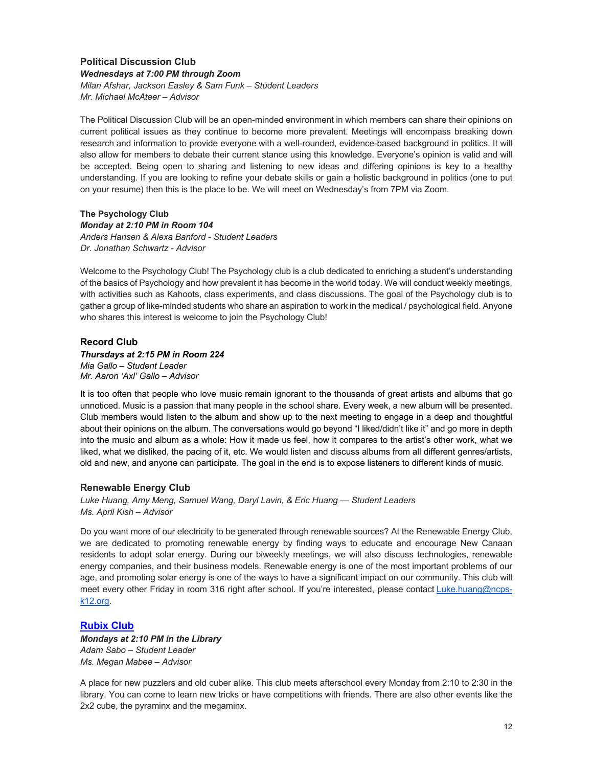## **Political Discussion Club** *Wednesdays at 7:00 PM through Zoom Milan Afshar, Jackson Easley & Sam Funk – Student Leaders Mr. Michael McAteer – Advisor*

The Political Discussion Club will be an open-minded environment in which members can share their opinions on current political issues as they continue to become more prevalent. Meetings will encompass breaking down research and information to provide everyone with a well-rounded, evidence-based background in politics. It will also allow for members to debate their current stance using this knowledge. Everyone's opinion is valid and will be accepted. Being open to sharing and listening to new ideas and differing opinions is key to a healthy understanding. If you are looking to refine your debate skills or gain a holistic background in politics (one to put on your resume) then this is the place to be. We will meet on Wednesday's from 7PM via Zoom.

#### **The Psychology Club** *Monday at 2:10 PM in Room 104 Anders Hansen & Alexa Banford - Student Leaders Dr. Jonathan Schwartz - Advisor*

Welcome to the Psychology Club! The Psychology club is a club dedicated to enriching a student's understanding of the basics of Psychology and how prevalent it has become in the world today. We will conduct weekly meetings, with activities such as Kahoots, class experiments, and class discussions. The goal of the Psychology club is to gather a group of like-minded students who share an aspiration to work in the medical / psychological field. Anyone who shares this interest is welcome to join the Psychology Club!

## **Record Club**

## *Thursdays at 2:15 PM in Room 224*

*Mia Gallo – Student Leader Mr. Aaron 'Axl' Gallo – Advisor*

It is too often that people who love music remain ignorant to the thousands of great artists and albums that go unnoticed. Music is a passion that many people in the school share. Every week, a new album will be presented. Club members would listen to the album and show up to the next meeting to engage in a deep and thoughtful about their opinions on the album. The conversations would go beyond "I liked/didn't like it" and go more in depth into the music and album as a whole: How it made us feel, how it compares to the artist's other work, what we liked, what we disliked, the pacing of it, etc. We would listen and discuss albums from all different genres/artists, old and new, and anyone can participate. The goal in the end is to expose listeners to different kinds of music.

## **Renewable Energy Club**

*Luke Huang, Amy Meng, Samuel Wang, Daryl Lavin, & Eric Huang — Student Leaders Ms. April Kish – Advisor*

Do you want more of our electricity to be generated through renewable sources? At the Renewable Energy Club, we are dedicated to promoting renewable energy by finding ways to educate and encourage New Canaan residents to adopt solar energy. During our biweekly meetings, we will also discuss technologies, renewable energy companies, and their business models. Renewable energy is one of the most important problems of our age, and promoting solar energy is one of the ways to have a significant impact on our community. This club will meet every other Friday in room 316 right after school. If you're interested, please contact Luke.huang@ncpsk12.org.

## **Rubix Club**

*Mondays at 2:10 PM in the Library Adam Sabo – Student Leader Ms. Megan Mabee – Advisor*

A place for new puzzlers and old cuber alike. This club meets afterschool every Monday from 2:10 to 2:30 in the library. You can come to learn new tricks or have competitions with friends. There are also other events like the 2x2 cube, the pyraminx and the megaminx.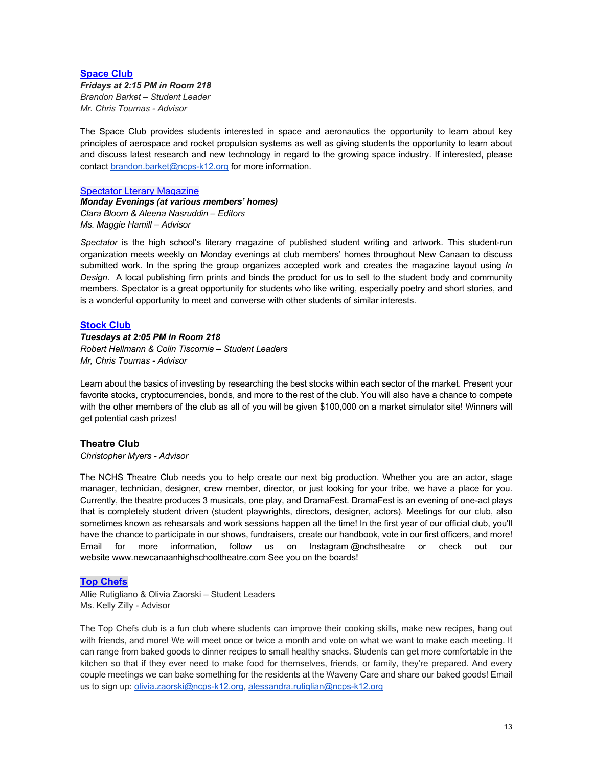## **Space Club**

#### *Fridays at 2:15 PM in Room 218 Brandon Barket – Student Leader Mr. Chris Tournas - Advisor*

The Space Club provides students interested in space and aeronautics the opportunity to learn about key principles of aerospace and rocket propulsion systems as well as giving students the opportunity to learn about and discuss latest research and new technology in regard to the growing space industry. If interested, please contact brandon.barket@ncps-k12.org for more information.

Spectator Lterary Magazine *Monday Evenings (at various members' homes) Clara Bloom & Aleena Nasruddin – Editors Ms. Maggie Hamill – Advisor*

*Spectator* is the high school's literary magazine of published student writing and artwork. This student-run organization meets weekly on Monday evenings at club members' homes throughout New Canaan to discuss submitted work. In the spring the group organizes accepted work and creates the magazine layout using *In Design*. A local publishing firm prints and binds the product for us to sell to the student body and community members. Spectator is a great opportunity for students who like writing, especially poetry and short stories, and is a wonderful opportunity to meet and converse with other students of similar interests.

## **Stock Club**

#### *Tuesdays at 2:05 PM in Room 218*

*Robert Hellmann & Colin Tiscornia – Student Leaders Mr, Chris Tournas - Advisor* 

Learn about the basics of investing by researching the best stocks within each sector of the market. Present your favorite stocks, cryptocurrencies, bonds, and more to the rest of the club. You will also have a chance to compete with the other members of the club as all of you will be given \$100,000 on a market simulator site! Winners will get potential cash prizes!

## **Theatre Club**

#### *Christopher Myers - Advisor*

The NCHS Theatre Club needs you to help create our next big production. Whether you are an actor, stage manager, technician, designer, crew member, director, or just looking for your tribe, we have a place for you. Currently, the theatre produces 3 musicals, one play, and DramaFest. DramaFest is an evening of one-act plays that is completely student driven (student playwrights, directors, designer, actors). Meetings for our club, also sometimes known as rehearsals and work sessions happen all the time! In the first year of our official club, you'll have the chance to participate in our shows, fundraisers, create our handbook, vote in our first officers, and more! Email for more information, follow us on Instagram @nchstheatre or check out our website www.newcanaanhighschooltheatre.com See you on the boards!

#### **Top Chefs**

Allie Rutigliano & Olivia Zaorski – Student Leaders Ms. Kelly Zilly - Advisor

The Top Chefs club is a fun club where students can improve their cooking skills, make new recipes, hang out with friends, and more! We will meet once or twice a month and vote on what we want to make each meeting. It can range from baked goods to dinner recipes to small healthy snacks. Students can get more comfortable in the kitchen so that if they ever need to make food for themselves, friends, or family, they're prepared. And every couple meetings we can bake something for the residents at the Waveny Care and share our baked goods! Email us to sign up: olivia.zaorski@ncps-k12.org, alessandra.rutiglian@ncps-k12.org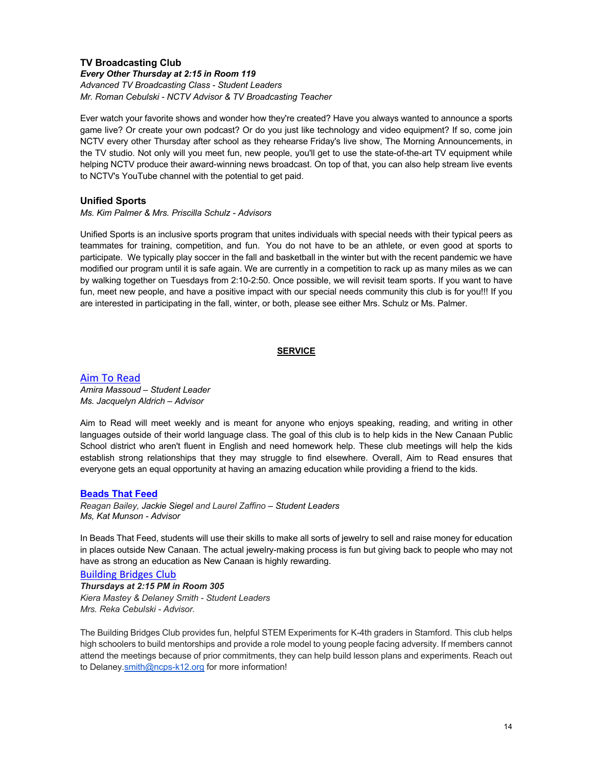## **TV Broadcasting Club** *Every Other Thursday at 2:15 in Room 119 Advanced TV Broadcasting Class - Student Leaders Mr. Roman Cebulski - NCTV Advisor & TV Broadcasting Teacher*

Ever watch your favorite shows and wonder how they're created? Have you always wanted to announce a sports game live? Or create your own podcast? Or do you just like technology and video equipment? If so, come join NCTV every other Thursday after school as they rehearse Friday's live show, The Morning Announcements, in the TV studio. Not only will you meet fun, new people, you'll get to use the state-of-the-art TV equipment while helping NCTV produce their award-winning news broadcast. On top of that, you can also help stream live events to NCTV's YouTube channel with the potential to get paid.

## **Unified Sports**

*Ms. Kim Palmer & Mrs. Priscilla Schulz - Advisors*

Unified Sports is an inclusive sports program that unites individuals with special needs with their typical peers as teammates for training, competition, and fun. You do not have to be an athlete, or even good at sports to participate. We typically play soccer in the fall and basketball in the winter but with the recent pandemic we have modified our program until it is safe again. We are currently in a competition to rack up as many miles as we can by walking together on Tuesdays from 2:10-2:50. Once possible, we will revisit team sports. If you want to have fun, meet new people, and have a positive impact with our special needs community this club is for you!!! If you are interested in participating in the fall, winter, or both, please see either Mrs. Schulz or Ms. Palmer.

## **SERVICE**

Aim To Read *Amira Massoud – Student Leader Ms. Jacquelyn Aldrich – Advisor*

Aim to Read will meet weekly and is meant for anyone who enjoys speaking, reading, and writing in other languages outside of their world language class. The goal of this club is to help kids in the New Canaan Public School district who aren't fluent in English and need homework help. These club meetings will help the kids establish strong relationships that they may struggle to find elsewhere. Overall, Aim to Read ensures that everyone gets an equal opportunity at having an amazing education while providing a friend to the kids.

## **Beads That Feed**

*Reagan Bailey, Jackie Siegel and Laurel Zaffino – Student Leaders Ms, Kat Munson - Advisor*

In Beads That Feed, students will use their skills to make all sorts of jewelry to sell and raise money for education in places outside New Canaan. The actual jewelry-making process is fun but giving back to people who may not have as strong an education as New Canaan is highly rewarding.

Building Bridges Club *Thursdays at 2:15 PM in Room 305 Kiera Mastey & Delaney Smith - Student Leaders Mrs. Reka Cebulski - Advisor.*

The Building Bridges Club provides fun, helpful STEM Experiments for K-4th graders in Stamford. This club helps high schoolers to build mentorships and provide a role model to young people facing adversity. If members cannot attend the meetings because of prior commitments, they can help build lesson plans and experiments. Reach out to Delaney.smith@ncps-k12.org for more information!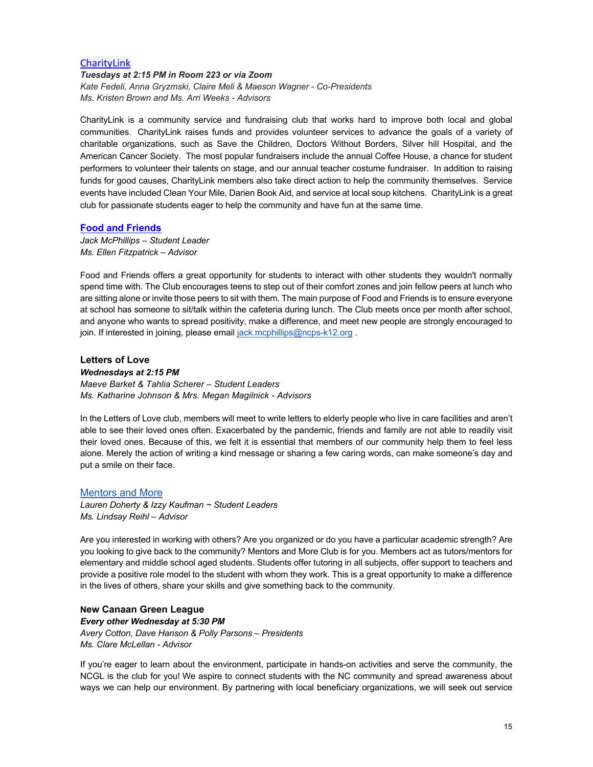## **CharityLink**

## *Tuesdays at 2:15 PM in Room 223 or via Zoom*

*Kate Fedeli, Anna Gryzmski, Claire Meli & Maeson Wagner - Co-Presidents Ms. Kristen Brown and Ms. Arri Weeks - Advisors*

CharityLink is a community service and fundraising club that works hard to improve both local and global communities. CharityLink raises funds and provides volunteer services to advance the goals of a variety of charitable organizations, such as Save the Children, Doctors Without Borders, Silver hill Hospital, and the American Cancer Society. The most popular fundraisers include the annual Coffee House, a chance for student performers to volunteer their talents on stage, and our annual teacher costume fundraiser. In addition to raising funds for good causes, CharityLink members also take direct action to help the community themselves. Service events have included Clean Your Mile, Darien Book Aid, and service at local soup kitchens. CharityLink is a great club for passionate students eager to help the community and have fun at the same time.

## **Food and Friends**

*Jack McPhillips – Student Leader Ms. Ellen Fitzpatrick – Advisor*

Food and Friends offers a great opportunity for students to interact with other students they wouldn't normally spend time with. The Club encourages teens to step out of their comfort zones and join fellow peers at lunch who are sitting alone or invite those peers to sit with them. The main purpose of Food and Friends is to ensure everyone at school has someone to sit/talk within the cafeteria during lunch. The Club meets once per month after school, and anyone who wants to spread positivity, make a difference, and meet new people are strongly encouraged to join. If interested in joining, please email jack.mcphillips@ncps-k12.org.

## **Letters of Love**

#### *Wednesdays at 2:15 PM*

*Maeve Barket & Tahlia Scherer – Student Leaders Ms. Katharine Johnson & Mrs. Megan Magilnick - Advisors*

In the Letters of Love club, members will meet to write letters to elderly people who live in care facilities and aren't able to see their loved ones often. Exacerbated by the pandemic, friends and family are not able to readily visit their loved ones. Because of this, we felt it is essential that members of our community help them to feel less alone. Merely the action of writing a kind message or sharing a few caring words, can make someone's day and put a smile on their face.

#### Mentors and More

*Lauren Doherty & Izzy Kaufman ~ Student Leaders Ms. Lindsay Reihl – Advisor*

Are you interested in working with others? Are you organized or do you have a particular academic strength? Are you looking to give back to the community? Mentors and More Club is for you. Members act as tutors/mentors for elementary and middle school aged students. Students offer tutoring in all subjects, offer support to teachers and provide a positive role model to the student with whom they work. This is a great opportunity to make a difference in the lives of others, share your skills and give something back to the community.

## **New Canaan Green League**  *Every other Wednesday at 5:30 PM Avery Cotton, Dave Hanson & Polly Parsons – Presidents Ms. Clare McLellan - Advisor*

If you're eager to learn about the environment, participate in hands-on activities and serve the community, the NCGL is the club for you! We aspire to connect students with the NC community and spread awareness about ways we can help our environment. By partnering with local beneficiary organizations, we will seek out service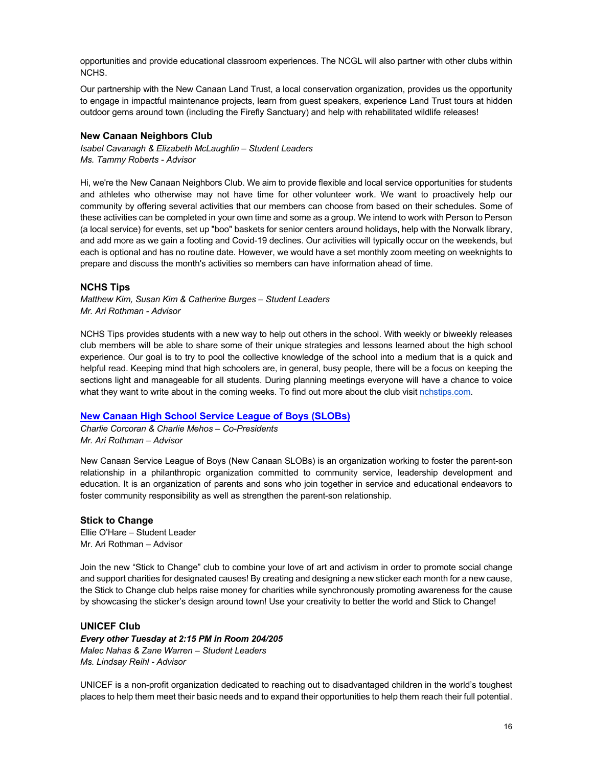opportunities and provide educational classroom experiences. The NCGL will also partner with other clubs within NCHS.

Our partnership with the New Canaan Land Trust, a local conservation organization, provides us the opportunity to engage in impactful maintenance projects, learn from guest speakers, experience Land Trust tours at hidden outdoor gems around town (including the Firefly Sanctuary) and help with rehabilitated wildlife releases!

## **New Canaan Neighbors Club**

*Isabel Cavanagh & Elizabeth McLaughlin – Student Leaders Ms. Tammy Roberts - Advisor*

Hi, we're the New Canaan Neighbors Club. We aim to provide flexible and local service opportunities for students and athletes who otherwise may not have time for other volunteer work. We want to proactively help our community by offering several activities that our members can choose from based on their schedules. Some of these activities can be completed in your own time and some as a group. We intend to work with Person to Person (a local service) for events, set up "boo" baskets for senior centers around holidays, help with the Norwalk library, and add more as we gain a footing and Covid-19 declines. Our activities will typically occur on the weekends, but each is optional and has no routine date. However, we would have a set monthly zoom meeting on weeknights to prepare and discuss the month's activities so members can have information ahead of time.

## **NCHS Tips**

*Matthew Kim, Susan Kim & Catherine Burges – Student Leaders Mr. Ari Rothman - Advisor*

NCHS Tips provides students with a new way to help out others in the school. With weekly or biweekly releases club members will be able to share some of their unique strategies and lessons learned about the high school experience. Our goal is to try to pool the collective knowledge of the school into a medium that is a quick and helpful read. Keeping mind that high schoolers are, in general, busy people, there will be a focus on keeping the sections light and manageable for all students. During planning meetings everyone will have a chance to voice what they want to write about in the coming weeks. To find out more about the club visit nchstips.com.

## **New Canaan High School Service League of Boys (SLOBs)**

*Charlie Corcoran & Charlie Mehos – Co-Presidents Mr. Ari Rothman – Advisor*

New Canaan Service League of Boys (New Canaan SLOBs) is an organization working to foster the parent-son relationship in a philanthropic organization committed to community service, leadership development and education. It is an organization of parents and sons who join together in service and educational endeavors to foster community responsibility as well as strengthen the parent-son relationship.

#### **Stick to Change**

Ellie O'Hare – Student Leader Mr. Ari Rothman – Advisor

Join the new "Stick to Change" club to combine your love of art and activism in order to promote social change and support charities for designated causes! By creating and designing a new sticker each month for a new cause, the Stick to Change club helps raise money for charities while synchronously promoting awareness for the cause by showcasing the sticker's design around town! Use your creativity to better the world and Stick to Change!

#### **UNICEF Club**

*Every other Tuesday at 2:15 PM in Room 204/205 Malec Nahas & Zane Warren – Student Leaders Ms. Lindsay Reihl - Advisor*

UNICEF is a non-profit organization dedicated to reaching out to disadvantaged children in the world's toughest places to help them meet their basic needs and to expand their opportunities to help them reach their full potential.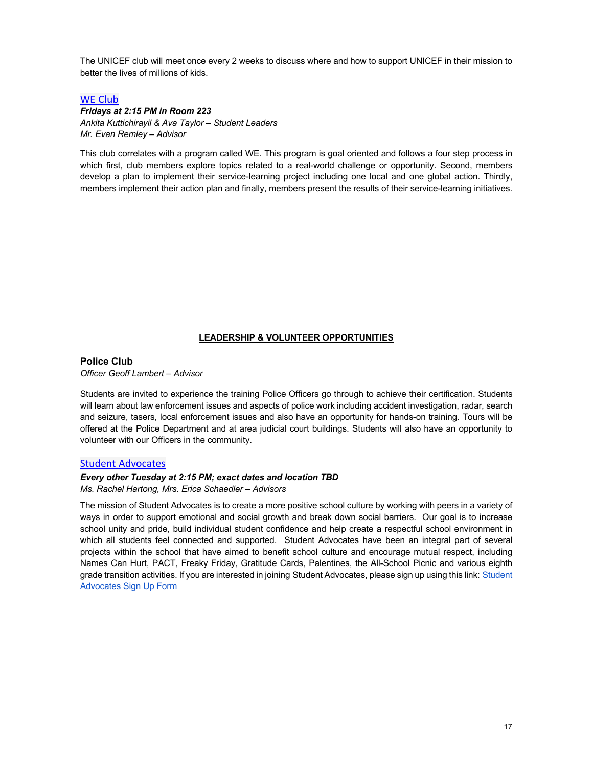The UNICEF club will meet once every 2 weeks to discuss where and how to support UNICEF in their mission to better the lives of millions of kids.

## WE Club

## *Fridays at 2:15 PM in Room 223 Ankita Kuttichirayil & Ava Taylor – Student Leaders Mr. Evan Remley – Advisor*

This club correlates with a program called WE. This program is goal oriented and follows a four step process in which first, club members explore topics related to a real-world challenge or opportunity. Second, members develop a plan to implement their service-learning project including one local and one global action. Thirdly, members implement their action plan and finally, members present the results of their service-learning initiatives.

#### **LEADERSHIP & VOLUNTEER OPPORTUNITIES**

#### **Police Club**

*Officer Geoff Lambert – Advisor*

Students are invited to experience the training Police Officers go through to achieve their certification. Students will learn about law enforcement issues and aspects of police work including accident investigation, radar, search and seizure, tasers, local enforcement issues and also have an opportunity for hands-on training. Tours will be offered at the Police Department and at area judicial court buildings. Students will also have an opportunity to volunteer with our Officers in the community.

## Student Advocates

#### *Every other Tuesday at 2:15 PM; exact dates and location TBD*

*Ms. Rachel Hartong, Mrs. Erica Schaedler – Advisors*

The mission of Student Advocates is to create a more positive school culture by working with peers in a variety of ways in order to support emotional and social growth and break down social barriers. Our goal is to increase school unity and pride, build individual student confidence and help create a respectful school environment in which all students feel connected and supported. Student Advocates have been an integral part of several projects within the school that have aimed to benefit school culture and encourage mutual respect, including Names Can Hurt, PACT, Freaky Friday, Gratitude Cards, Palentines, the All-School Picnic and various eighth grade transition activities. If you are interested in joining Student Advocates, please sign up using this link: Student Advocates Sign Up Form